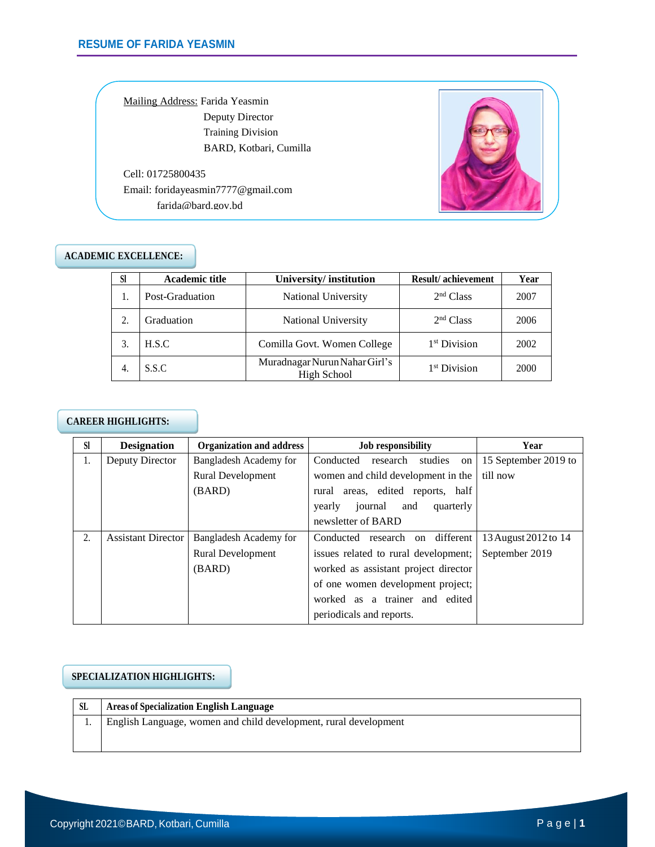Mailing Address: Farida Yeasmin Deputy Director Training Division BARD, Kotbari, Cumilla

Cell: 01725800435 Email: [foridayeasmin7777@gmail.com](mailto:foridayeasmin7777@gmail.com) farida@bard.gov.bd



### **ACADEMIC EXCELLENCE:**

| <b>SI</b> | <b>Academic title</b> | University/institution                       | <b>Result/achievement</b> | Year |
|-----------|-----------------------|----------------------------------------------|---------------------------|------|
|           | Post-Graduation       | National University                          | 2 <sup>nd</sup> Class     | 2007 |
|           | Graduation            | National University                          | 2 <sup>nd</sup> Class     | 2006 |
|           | H.S.C                 | Comilla Govt. Women College                  | 1 <sup>st</sup> Division  | 2002 |
| -4.       | S.S.C                 | Muradnagar Nurun Nahar Girl's<br>High School | 1 <sup>st</sup> Division  | 2000 |

### **CAREER HIGHLIGHTS:**

| <b>SI</b> | <b>Designation</b>        | <b>Organization and address</b>                                | <b>Job responsibility</b>             | Year                 |
|-----------|---------------------------|----------------------------------------------------------------|---------------------------------------|----------------------|
| 1.        | Deputy Director           | Bangladesh Academy for                                         | Conducted<br>research studies on      | 15 September 2019 to |
|           |                           | <b>Rural Development</b><br>women and child development in the |                                       | till now             |
|           |                           | (BARD)                                                         | rural areas, edited reports, half     |                      |
|           |                           |                                                                | journal<br>quarterly<br>and<br>yearly |                      |
|           |                           |                                                                | newsletter of BARD                    |                      |
| 2.        | <b>Assistant Director</b> | Bangladesh Academy for                                         | Conducted research on different       | 13 August 2012 to 14 |
|           |                           | <b>Rural Development</b>                                       | issues related to rural development;  | September 2019       |
|           |                           | (BARD)                                                         | worked as assistant project director  |                      |
|           |                           |                                                                | of one women development project;     |                      |
|           |                           |                                                                | worked as a trainer and edited        |                      |
|           |                           |                                                                | periodicals and reports.              |                      |

### **SPECIALIZATION HIGHLIGHTS:**

| - SL | <b>Areas of Specialization English Language</b>                  |  |
|------|------------------------------------------------------------------|--|
|      | English Language, women and child development, rural development |  |
|      |                                                                  |  |